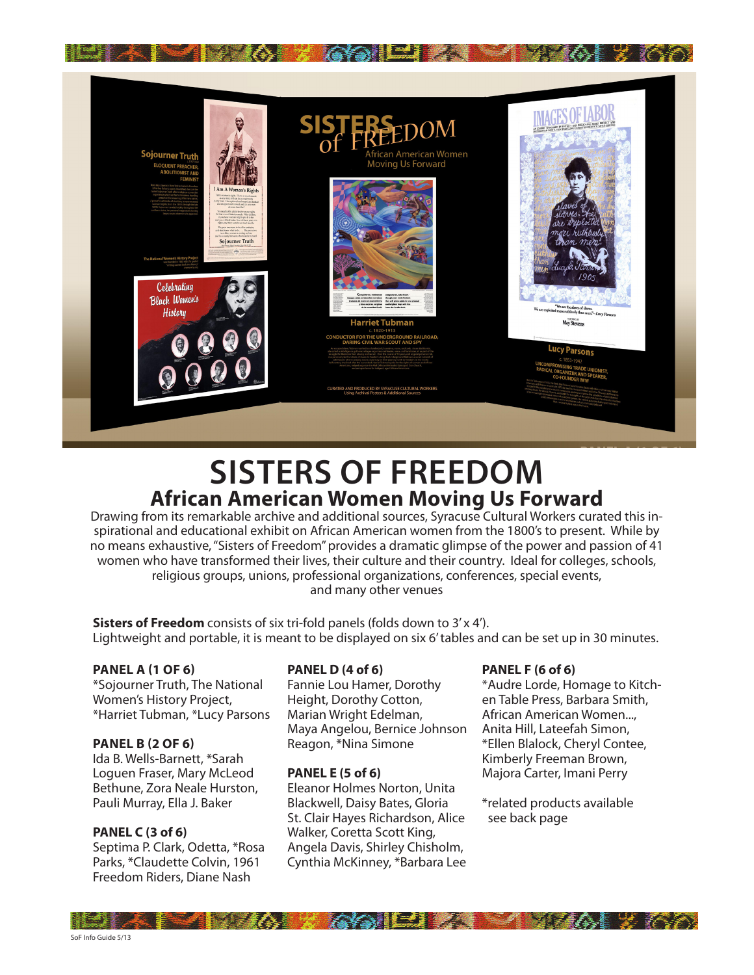

# **SISTERS OF FREEDOM African American Women Moving Us Forward**

Drawing from its remarkable archive and additional sources, Syracuse Cultural Workers curated this inspirational and educational exhibit on African American women from the 1800's to present. While by no means exhaustive, "Sisters of Freedom" provides a dramatic glimpse of the power and passion of 41 women who have transformed their lives, their culture and their country. Ideal for colleges, schools, religious groups, unions, professional organizations, conferences, special events, and many other venues

**Sisters of Freedom** consists of six tri-fold panels (folds down to 3'x 4'). Lightweight and portable, it is meant to be displayed on six 6' tables and can be set up in 30 minutes.

#### **PANEL A (1 OF 6)**

\*Sojourner Truth, The National Women's History Project, \*Harriet Tubman, \*Lucy Parsons

#### **PANEL B (2 OF 6)**

Ida B. Wells-Barnett, \*Sarah Loguen Fraser, Mary McLeod Bethune, Zora Neale Hurston, Pauli Murray, Ella J. Baker

#### **PANEL C (3 of 6)**

Septima P. Clark, Odetta, \*Rosa Parks, \*Claudette Colvin, 1961 Freedom Riders, Diane Nash

#### **PANEL D (4 of 6)**

Fannie Lou Hamer, Dorothy Height, Dorothy Cotton, Marian Wright Edelman, Maya Angelou, Bernice Johnson Reagon, \*Nina Simone

#### **PANEL E (5 of 6)**

Eleanor Holmes Norton, Unita Blackwell, Daisy Bates, Gloria St. Clair Hayes Richardson, Alice Walker, Coretta Scott King, Angela Davis, Shirley Chisholm, Cynthia McKinney, \*Barbara Lee

#### **PANEL F (6 of 6)**

\*Audre Lorde, Homage to Kitchen Table Press, Barbara Smith, African American Women..., Anita Hill, Lateefah Simon, \*Ellen Blalock, Cheryl Contee, Kimberly Freeman Brown, Majora Carter, Imani Perry

\*related products available see back page

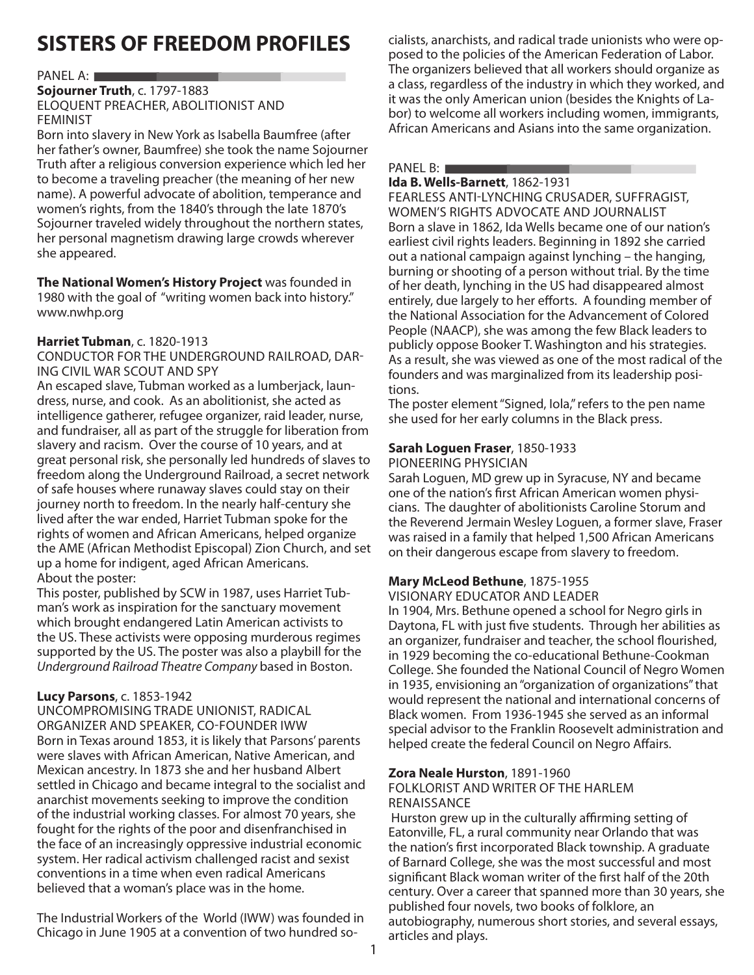## **SISTERS OF FREEDOM PROFILES**

#### PANEL A: **New York Contract Contract Contract Contract Contract Contract Contract Contract Contract Contract Contract Contract Contract Contract Contract Contract Contract Contract Contract Contract Contract Contract Contr**

# **Sojourner Truth** , c. 1797-1883 ELOQUENT PREACHER, ABOLITIONIST AND FEMINIST **RS OF FREEDOM PROFILES**<br>
FIT Truth, c. 1797-1883<br>
FIT PREACHER, ABOLITIONIST AND<br>
Slavery in New York as Isabella Baumfree (after<br>
Slavery in New York as Isabella Baumfree (after<br>
Sowner, Baumfree) she took the name Sojou

Born into slavery in New York as Isabella Baumfree (after her father's owner, Baumfree) she took the name Sojourner Truth after a religious conversion experience which led her to become a traveling preacher (the meaning of her new name). A powerful advocate of abolition, temperance and women's rights, from the 1840's through the late 1870's Sojourner traveled widely throughout the northern states, her personal magnetism drawing large crowds wherever she appeared.

#### **The National Women's History Project** was founded in

1980 with the goal of "writing women back into history." www.nwhp.org

#### **Harriet Tubman**, c. 1820-1913

CONDUCTOR FOR THE UNDERGROUND RAILROAD, DAR-ING CIVIL WAR SCOUT AND SPY

An escaped slave, Tubman worked as a lumberjack, laundress, nurse, and cook. As an abolitionist, she acted as intelligence gatherer, refugee organizer, raid leader, nurse, and fundraiser, all as part of the struggle for liberation from slavery and racism. Over the course of 10 years, and at great personal risk, she personally led hundreds of slaves to freedom along the Underground Railroad, a secret network of safe houses where runaway slaves could stay on their journey north to freedom. In the nearly half-century she lived after the war ended, Harriet Tubman spoke for the rights of women and African Americans, helped organize the AME (African Methodist Episcopal) Zion Church, and set up a home for indigent, aged African Americans. About the poster:

This poster, published by SCW in 1987, uses Harriet Tubman's work as inspiration for the sanctuary movement which brought endangered Latin American activists to the US. These activists were opposing murderous regimes supported by the US. The poster was also a playbill for the Underground Railroad Theatre Company based in Boston.

#### **Lucy Parsons**, c. 1853-1942

UNCOMPROMISING TRADE UNIONIST, RADICAL ORGANIZER AND SPEAKER, CO-FOUNDER IWW Born in Texas around 1853, it is likely that Parsons' parents were slaves with African American, Native American, and Mexican ancestry. In 1873 she and her husband Albert settled in Chicago and became integral to the socialist and anarchist movements seeking to improve the condition of the industrial working classes. For almost 70 years, she fought for the rights of the poor and disenfranchised in the face of an increasingly oppressive industrial economic system. Her radical activism challenged racist and sexist conventions in a time when even radical Americans believed that a woman's place was in the home.

The Industrial Workers of the World (IWW) was founded in Chicago in June 1905 at a convention of two hundred socialists, anarchists, and radical trade unionists who were opposed to the policies of the American Federation of Labor. The organizers believed that all workers should organize as a class, regardless of the industry in which they worked, and it was the only American union (besides the Knights of Labor) to welcome all workers including women, immigrants, African Americans and Asians into the same organization.

#### PANEL B: **Example 2014** and 2014 and 2014 and 2014 and 2014 and 2014 and 2014 and 2014 and 2014 and 2014 and 2014

**Ida B. Wells-Barnett** , 1862-1931

Born a slave in 1862, Ida Wells became one of our nation's earliest civil rights leaders. Beginning in 1892 she carried FEARLESS ANTI-LYNCHING CRUSADER, SUFFRAGIST, WOMEN'S RIGHTS ADVOCATE AND JOURNALIST Marin Marin Marin Colomon<br>Pelcome all workers included<br>Marin Marin Marin Standard<br>Standard Marin Standard<br>Standard Marin Standard<br>Standard Marin Standard<br>Standard Marin Standard<br>Standard Marin Standard<br>Will rights leaders. (accurace the hinghits of a<br>luding women, immigration<br>to the same organization<br>1<br>JSADER, SUFFRAGIST,<br>AND JOURNALIST<br>ecame one of our nation<br>nning in 1892 she carried out a national campaign against lynching – the hanging, burning or shooting of a person without trial. By the time of her death, lynching in the US had disappeared almost entirely, due largely to her efforts. A founding member of the National Association for the Advancement of Colored People (NAACP), she was among the few Black leaders to publicly oppose Booker T. Washington and his strategies. As a result, she was viewed as one of the most radical of the founders and was marginalized from its leadership positions.

The poster element "Signed, Iola," refers to the pen name she used for her early columns in the Black press.

#### **Sarah Loguen Fraser**, 1850-1933

PIONEERING PHYSICIAN

Sarah Loguen, MD grew up in Syracuse, NY and became one of the nation's first African American women physicians. The daughter of abolitionists Caroline Storum and the Reverend Jermain Wesley Loguen, a former slave, Fraser was raised in a family that helped 1,500 African Americans on their dangerous escape from slavery to freedom.

#### **Mary McLeod Bethune**, 1875-1955

VISIONARY EDUCATOR AND LEADER

In 1904, Mrs. Bethune opened a school for Negro girls in Daytona, FL with just five students. Through her abilities as an organizer, fundraiser and teacher, the school flourished, in 1929 becoming the co-educational Bethune-Cookman College. She founded the National Council of Negro Women in 1935, envisioning an "organization of organizations" that would represent the national and international concerns of Black women. From 1936-1945 she served as an informal special advisor to the Franklin Roosevelt administration and helped create the federal Council on Negro Affairs.

#### **Zora Neale Hurston**, 1891-1960

#### FOLKLORIST AND WRITER OF THE HARLEM RENAISSANCE

Hurston grew up in the culturally affirming setting of Eatonville, FL, a rural community near Orlando that was the nation's first incorporated Black township. A graduate of Barnard College, she was the most successful and most significant Black woman writer of the first half of the 20th century. Over a career that spanned more than 30 years, she published four novels, two books of folklore, an autobiography, numerous short stories, and several essays, articles and plays.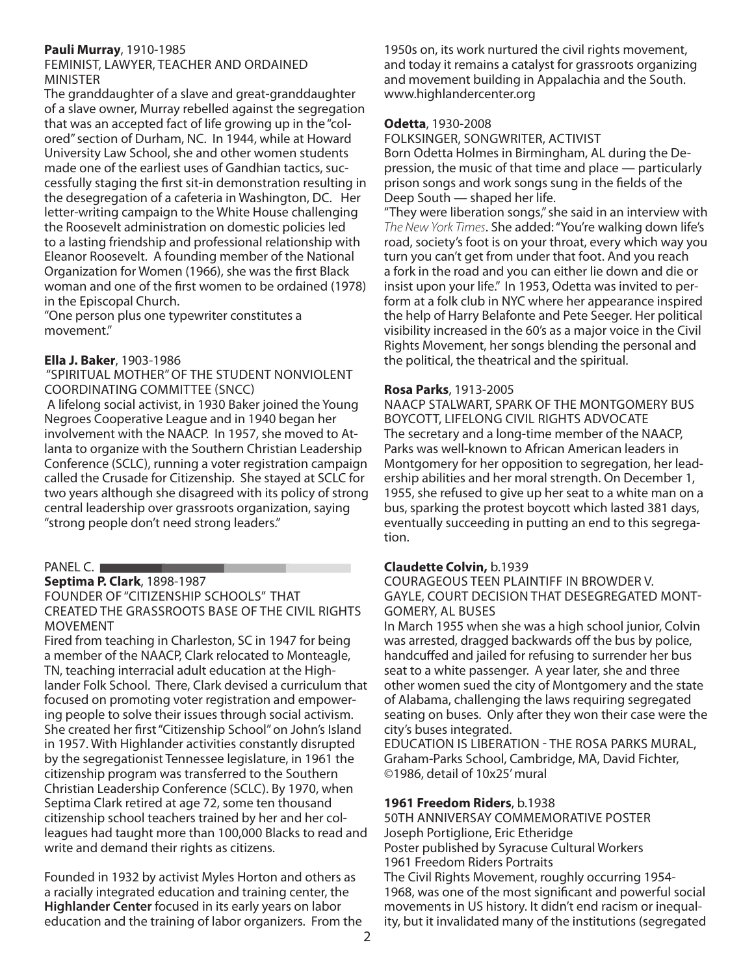#### **Pauli Murray**, 1910-1985

#### FEMINIST, LAWYER, TEACHER AND ORDAINED MINISTER

The granddaughter of a slave and great-granddaughter of a slave owner, Murray rebelled against the segregation that was an accepted fact of life growing up in the "colored" section of Durham, NC. In 1944, while at Howard University Law School, she and other women students made one of the earliest uses of Gandhian tactics, successfully staging the first sit-in demonstration resulting in the desegregation of a cafeteria in Washington, DC. Her letter-writing campaign to the White House challenging the Roosevelt administration on domestic policies led to a lasting friendship and professional relationship with Eleanor Roosevelt. A founding member of the National Organization for Women (1966), she was the first Black woman and one of the first women to be ordained (1978) in the Episcopal Church.

"One person plus one typewriter constitutes a movement."

#### **Ella J. Baker**, 1903-1986

 "SPIRITUAL MOTHER" OF THE STUDENT NONVIOLENT COORDINATING COMMITTEE (SNCC)

 A lifelong social activist, in 1930 Baker joined the Young Negroes Cooperative League and in 1940 began her involvement with the NAACP. In 1957, she moved to Atlanta to organize with the Southern Christian Leadership Conference (SCLC), running a voter registration campaign called the Crusade for Citizenship. She stayed at SCLC for two years although she disagreed with its policy of strong central leadership over grassroots organization, saying "strong people don't need strong leaders."

#### PANEL C.

**Septima P. Clark** , 1898-1987

FOUNDER OF "CITIZENSHIP SCHOOLS" THAT CREATED THE GRASSROOTS BASE OF THE CIVIL RIGHTS MOVEMENT adership ove<br>eople don't n<br>**P. Clark**, 1898<br>R OF "CITIZEN<br>THE GRASSF<br>INT ver grassroots organization, saying<br>t need strong leaders."<br>198-1987<br>ENSHIP SCHOOLS" THAT<br>SROOTS BASE OF THE CIVIL RIGHT<br>in Charleston, SC in 1947 for being

Fired from teaching in Charleston, SC in 1947 for being a member of the NAACP, Clark relocated to Monteagle, TN, teaching interracial adult education at the Highlander Folk School. There, Clark devised a curriculum that focused on promoting voter registration and empowering people to solve their issues through social activism. She created her first "Citizenship School" on John's Island in 1957. With Highlander activities constantly disrupted by the segregationist Tennessee legislature, in 1961 the citizenship program was transferred to the Southern Christian Leadership Conference (SCLC). By 1970, when Septima Clark retired at age 72, some ten thousand citizenship school teachers trained by her and her colleagues had taught more than 100,000 Blacks to read and write and demand their rights as citizens.

Founded in 1932 by activist Myles Horton and others as a racially integrated education and training center, the **Highlander Center** focused in its early years on labor education and the training of labor organizers. From the 1950s on, its work nurtured the civil rights movement, and today it remains a catalyst for grassroots organizing and movement building in Appalachia and the South. www.highlandercenter.org

#### **Odetta**, 1930-2008

FOLKSINGER, SONGWRITER, ACTIVIST

Born Odetta Holmes in Birmingham, AL during the Depression, the music of that time and place — particularly prison songs and work songs sung in the fields of the Deep South — shaped her life.

"They were liberation songs," she said in an interview with The New York Times. She added: "You're walking down life's road, society's foot is on your throat, every which way you turn you can't get from under that foot. And you reach a fork in the road and you can either lie down and die or insist upon your life." In 1953, Odetta was invited to perform at a folk club in NYC where her appearance inspired the help of Harry Belafonte and Pete Seeger. Her political visibility increased in the 60's as a major voice in the Civil Rights Movement, her songs blending the personal and the political, the theatrical and the spiritual.

#### **Rosa Parks**, 1913-2005

NAACP STALWART, SPARK OF THE MONTGOMERY BUS BOYCOTT, LIFELONG CIVIL RIGHTS ADVOCATE The secretary and a long-time member of the NAACP, Parks was well-known to African American leaders in Montgomery for her opposition to segregation, her leadership abilities and her moral strength. On December 1, 1955, she refused to give up her seat to a white man on a bus, sparking the protest boycott which lasted 381 days, eventually succeeding in putting an end to this segregation.

#### **Claudette Colvin,** b.1939

COURAGEOUS TEEN PLAINTIFF IN BROWDER V. GAYLE, COURT DECISION THAT DESEGREGATED MONT-GOMERY, AL BUSES

In March 1955 when she was a high school junior, Colvin was arrested, dragged backwards off the bus by police, handcuffed and jailed for refusing to surrender her bus seat to a white passenger. A year later, she and three other women sued the city of Montgomery and the state of Alabama, challenging the laws requiring segregated seating on buses. Only after they won their case were the city's buses integrated.

EDUCATION IS LIBERATION - THE ROSA PARKS MURAL, Graham-Parks School, Cambridge, MA, David Fichter, ©1986, detail of 10x25' mural

#### **1961 Freedom Riders**, b.1938

50TH ANNIVERSAY COMMEMORATIVE POSTER Joseph Portiglione, Eric Etheridge Poster published by Syracuse Cultural Workers 1961 Freedom Riders Portraits The Civil Rights Movement, roughly occurring 1954- 1968, was one of the most significant and powerful social movements in US history. It didn't end racism or inequality, but it invalidated many of the institutions (segregated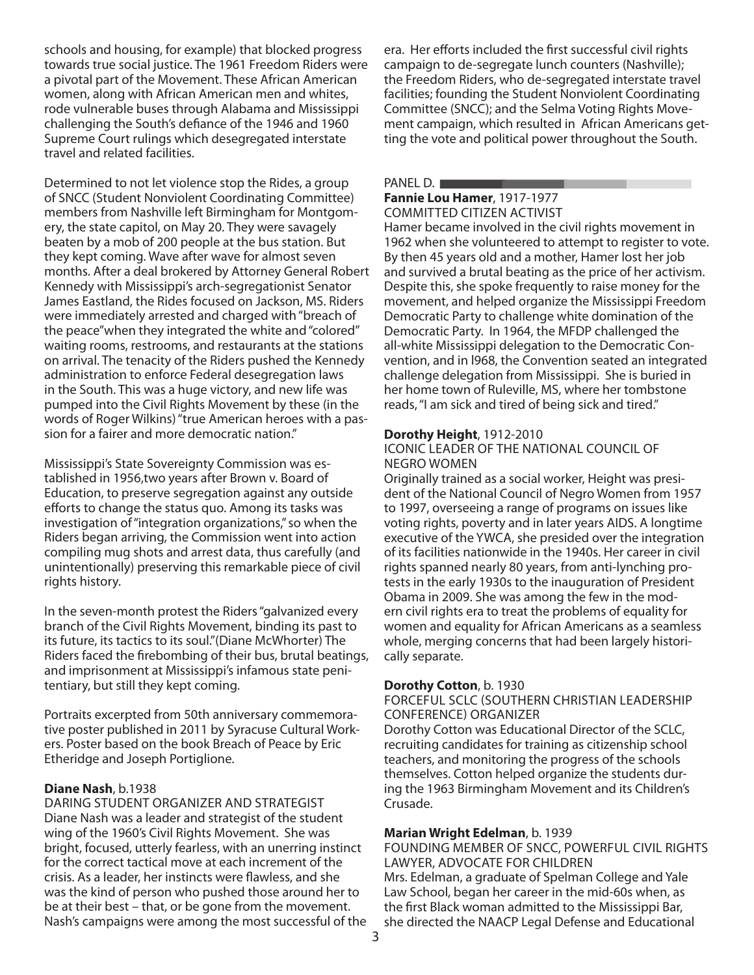schools and housing, for example) that blocked progress towards true social justice. The 1961 Freedom Riders were a pivotal part of the Movement. These African American women, along with African American men and whites, rode vulnerable buses through Alabama and Mississippi challenging the South's defiance of the 1946 and 1960 Supreme Court rulings which desegregated interstate travel and related facilities.

Determined to not let violence stop the Rides, a group of SNCC (Student Nonviolent Coordinating Committee) members from Nashville left Birmingham for Montgomery, the state capitol, on May 20. They were savagely beaten by a mob of 200 people at the bus station. But they kept coming. Wave after wave for almost seven months. After a deal brokered by Attorney General Robert Kennedy with Mississippi's arch-segregationist Senator James Eastland, the Rides focused on Jackson, MS. Riders were immediately arrested and charged with "breach of the peace"when they integrated the white and "colored" waiting rooms, restrooms, and restaurants at the stations on arrival. The tenacity of the Riders pushed the Kennedy administration to enforce Federal desegregation laws in the South. This was a huge victory, and new life was pumped into the Civil Rights Movement by these (in the words of Roger Wilkins) "true American heroes with a passion for a fairer and more democratic nation."

Mississippi's State Sovereignty Commission was established in 1956,two years after Brown v. Board of Education, to preserve segregation against any outside efforts to change the status quo. Among its tasks was investigation of "integration organizations," so when the Riders began arriving, the Commission went into action compiling mug shots and arrest data, thus carefully (and unintentionally) preserving this remarkable piece of civil rights history.

In the seven-month protest the Riders "galvanized every branch of the Civil Rights Movement, binding its past to its future, its tactics to its soul."(Diane McWhorter) The Riders faced the firebombing of their bus, brutal beatings, and imprisonment at Mississippi's infamous state penitentiary, but still they kept coming.

Portraits excerpted from 50th anniversary commemorative poster published in 2011 by Syracuse Cultural Workers. Poster based on the book Breach of Peace by Eric Etheridge and Joseph Portiglione.

#### **Diane Nash**, b.1938

DARING STUDENT ORGANIZER AND STRATEGIST Diane Nash was a leader and strategist of the student wing of the 1960's Civil Rights Movement. She was bright, focused, utterly fearless, with an unerring instinct for the correct tactical move at each increment of the crisis. As a leader, her instincts were flawless, and she was the kind of person who pushed those around her to be at their best – that, or be gone from the movement. Nash's campaigns were among the most successful of the

era. Her efforts included the first successful civil rights campaign to de-segregate lunch counters (Nashville); the Freedom Riders, who de-segregated interstate travel facilities; founding the Student Nonviolent Coordinating Committee (SNCC); and the Selma Voting Rights Movement campaign, which resulted in African Americans getting the vote and political power throughout the South.

#### PANEL D.

#### **Fannie Lou Hamer** , 1917-1977 COMMITTED CITIZEN ACTIVIST

Hamer became involved in the civil rights movement in 1962 when she volunteered to attempt to register to vote. By then 45 years old and a mother, Hamer lost her job npaign, which<br>vote and polit<br>**ou Hamer**, 19<br>TED CITIZEN<br>ecame involve<br>en she volunt<br>5 years old ar ich resulted in African Americans ge<br>
litical power throughout the South<br>
1917-1977<br>
N ACTIVIST<br>
lved in the civil rights movement in<br>
nteered to attempt to register to vo<br>
and a mother, Hamer lost her job and survived a brutal beating as the price of her activism. Despite this, she spoke frequently to raise money for the movement, and helped organize the Mississippi Freedom Democratic Party to challenge white domination of the Democratic Party. In 1964, the MFDP challenged the all-white Mississippi delegation to the Democratic Convention, and in l968, the Convention seated an integrated challenge delegation from Mississippi. She is buried in her home town of Ruleville, MS, where her tombstone reads, "I am sick and tired of being sick and tired."

#### **Dorothy Height**, 1912-2010

#### ICONIC LEADER OF THE NATIONAL COUNCIL OF NEGRO WOMEN

Originally trained as a social worker, Height was president of the National Council of Negro Women from 1957 to 1997, overseeing a range of programs on issues like voting rights, poverty and in later years AIDS. A longtime executive of the YWCA, she presided over the integration of its facilities nationwide in the 1940s. Her career in civil rights spanned nearly 80 years, from anti-lynching protests in the early 1930s to the inauguration of President Obama in 2009. She was among the few in the modern civil rights era to treat the problems of equality for women and equality for African Americans as a seamless whole, merging concerns that had been largely historically separate.

#### **Dorothy Cotton**, b. 1930

#### FORCEFUL SCLC (SOUTHERN CHRISTIAN LEADERSHIP CONFERENCE) ORGANIZER

Dorothy Cotton was Educational Director of the SCLC, recruiting candidates for training as citizenship school teachers, and monitoring the progress of the schools themselves. Cotton helped organize the students during the 1963 Birmingham Movement and its Children's Crusade.

#### **Marian Wright Edelman**, b. 1939

FOUNDING MEMBER OF SNCC, POWERFUL CIVIL RIGHTS LAWYER, ADVOCATE FOR CHILDREN Mrs. Edelman, a graduate of Spelman College and Yale Law School, began her career in the mid-60s when, as the first Black woman admitted to the Mississippi Bar, she directed the NAACP Legal Defense and Educational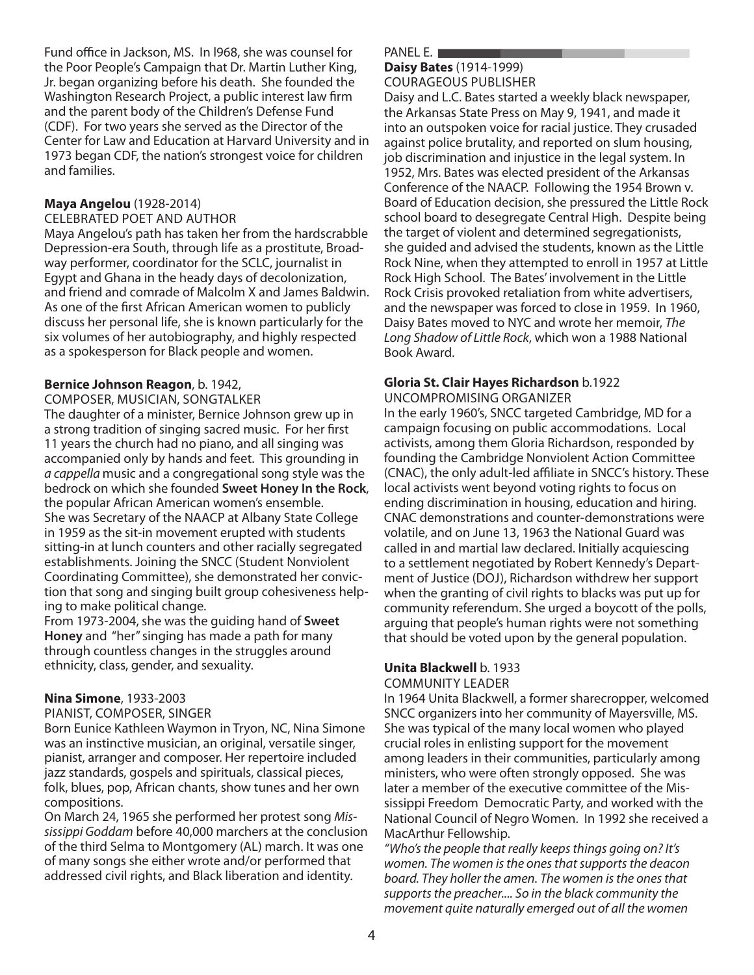Fund office in Jackson, MS. In l968, she was counsel for the Poor People's Campaign that Dr. Martin Luther King, Jr. began organizing before his death. She founded the Washington Research Project, a public interest law firm and the parent body of the Children's Defense Fund (CDF). For two years she served as the Director of the Center for Law and Education at Harvard University and in 1973 began CDF, the nation's strongest voice for children and families.

#### **Maya Angelou** (1928-2014)

CELEBRATED POET AND AUTHOR

Maya Angelou's path has taken her from the hardscrabble Depression-era South, through life as a prostitute, Broadway performer, coordinator for the SCLC, journalist in Egypt and Ghana in the heady days of decolonization, and friend and comrade of Malcolm X and James Baldwin. As one of the first African American women to publicly discuss her personal life, she is known particularly for the six volumes of her autobiography, and highly respected as a spokesperson for Black people and women.

#### **Bernice Johnson Reagon**, b. 1942,

COMPOSER, MUSICIAN, SONGTALKER

The daughter of a minister, Bernice Johnson grew up in a strong tradition of singing sacred music. For her first 11 years the church had no piano, and all singing was accompanied only by hands and feet. This grounding in a cappella music and a congregational song style was the bedrock on which she founded **Sweet Honey In the Rock**, the popular African American women's ensemble. She was Secretary of the NAACP at Albany State College in 1959 as the sit-in movement erupted with students sitting-in at lunch counters and other racially segregated establishments. Joining the SNCC (Student Nonviolent Coordinating Committee), she demonstrated her conviction that song and singing built group cohesiveness helping to make political change.

From 1973-2004, she was the guiding hand of **Sweet Honey** and "her" singing has made a path for many through countless changes in the struggles around ethnicity, class, gender, and sexuality.

#### **Nina Simone**, 1933-2003

#### PIANIST, COMPOSER, SINGER

Born Eunice Kathleen Waymon in Tryon, NC, Nina Simone was an instinctive musician, an original, versatile singer, pianist, arranger and composer. Her repertoire included jazz standards, gospels and spirituals, classical pieces, folk, blues, pop, African chants, show tunes and her own compositions.

On March 24, 1965 she performed her protest song Mississippi Goddam before 40,000 marchers at the conclusion of the third Selma to Montgomery (AL) march. It was one of many songs she either wrote and/or performed that addressed civil rights, and Black liberation and identity.

#### PANEL E.

#### **Daisy Bates**  (1914-1999) COURAGEOUS PUBLISHER

Daisy and L.C. Bates started a weekly black newspaper, the Arkansas State Press on May 9, 1941, and made it into an outspoken voice for racial justice. They crusaded **les**<br>**(1914-199)<br>EOUS PUBLI!<br>d L.C. Bates st<br>nsas State Pre<br>utspoken voi** 1999)<br>1999)<br>LISHER<br>started a weekly black newspaper,<br>Press on May 9, 1941, and made it<br>oice for racial justice. They crusaded against police brutality, and reported on slum housing, job discrimination and injustice in the legal system. In 1952, Mrs. Bates was elected president of the Arkansas Conference of the NAACP. Following the 1954 Brown v. Board of Education decision, she pressured the Little Rock school board to desegregate Central High. Despite being the target of violent and determined segregationists, she guided and advised the students, known as the Little Rock Nine, when they attempted to enroll in 1957 at Little Rock High School. The Bates' involvement in the Little Rock Crisis provoked retaliation from white advertisers, and the newspaper was forced to close in 1959. In 1960, Daisy Bates moved to NYC and wrote her memoir, The Long Shadow of Little Rock, which won a 1988 National Book Award.

### **Gloria St. Clair Hayes Richardson** b.1922

UNCOMPROMISING ORGANIZER

In the early 1960's, SNCC targeted Cambridge, MD for a campaign focusing on public accommodations. Local activists, among them Gloria Richardson, responded by founding the Cambridge Nonviolent Action Committee (CNAC), the only adult-led affiliate in SNCC's history. These local activists went beyond voting rights to focus on ending discrimination in housing, education and hiring. CNAC demonstrations and counter-demonstrations were volatile, and on June 13, 1963 the National Guard was called in and martial law declared. Initially acquiescing to a settlement negotiated by Robert Kennedy's Department of Justice (DOJ), Richardson withdrew her support when the granting of civil rights to blacks was put up for community referendum. She urged a boycott of the polls, arguing that people's human rights were not something that should be voted upon by the general population.

#### **Unita Blackwell** b. 1933 COMMUNITY LEADER

In 1964 Unita Blackwell, a former sharecropper, welcomed SNCC organizers into her community of Mayersville, MS. She was typical of the many local women who played crucial roles in enlisting support for the movement among leaders in their communities, particularly among ministers, who were often strongly opposed. She was later a member of the executive committee of the Mississippi Freedom Democratic Party, and worked with the National Council of Negro Women. In 1992 she received a MacArthur Fellowship.

"Who's the people that really keeps things going on? It's women. The women is the ones that supports the deacon board. They holler the amen. The women is the ones that supports the preacher.... So in the black community the movement quite naturally emerged out of all the women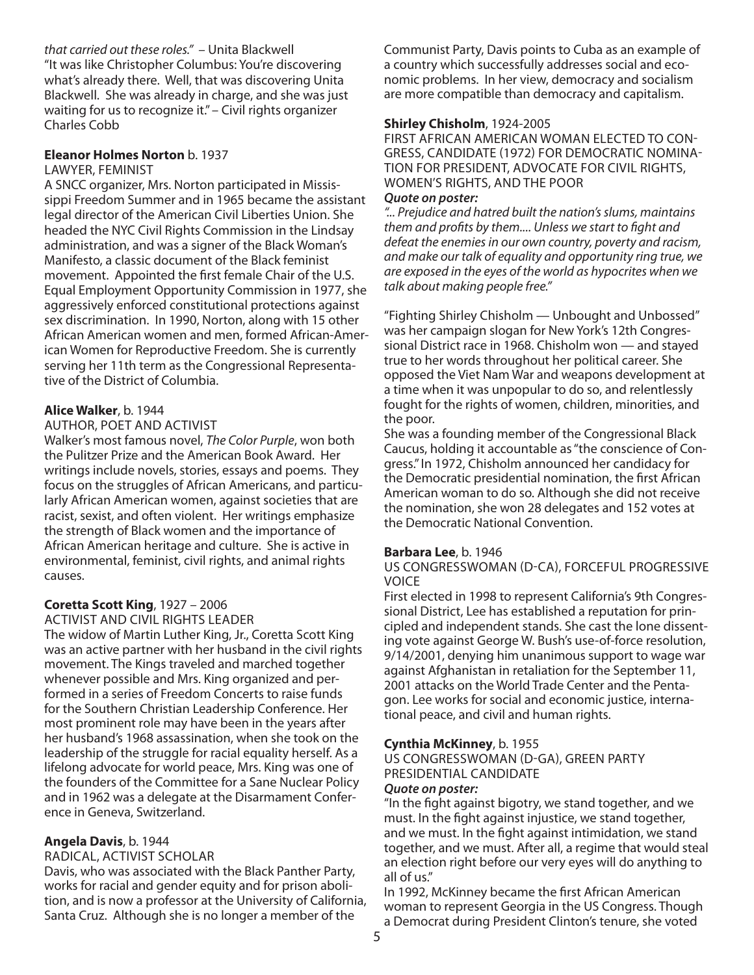that carried out these roles." – Unita Blackwell "It was like Christopher Columbus: You're discovering what's already there. Well, that was discovering Unita Blackwell. She was already in charge, and she was just waiting for us to recognize it." – Civil rights organizer Charles Cobb

#### **Eleanor Holmes Norton** b. 1937

LAWYER, FEMINIST

A SNCC organizer, Mrs. Norton participated in Mississippi Freedom Summer and in 1965 became the assistant legal director of the American Civil Liberties Union. She headed the NYC Civil Rights Commission in the Lindsay administration, and was a signer of the Black Woman's Manifesto, a classic document of the Black feminist movement. Appointed the first female Chair of the U.S. Equal Employment Opportunity Commission in 1977, she aggressively enforced constitutional protections against sex discrimination. In 1990, Norton, along with 15 other African American women and men, formed African-American Women for Reproductive Freedom. She is currently serving her 11th term as the Congressional Representative of the District of Columbia.

#### **Alice Walker**, b. 1944

#### AUTHOR, POET AND ACTIVIST

Walker's most famous novel, The Color Purple, won both the Pulitzer Prize and the American Book Award. Her writings include novels, stories, essays and poems. They focus on the struggles of African Americans, and particularly African American women, against societies that are racist, sexist, and often violent. Her writings emphasize the strength of Black women and the importance of African American heritage and culture. She is active in environmental, feminist, civil rights, and animal rights causes.

#### **Coretta Scott King**, 1927 – 2006

ACTIVIST AND CIVIL RIGHTS LEADER

The widow of Martin Luther King, Jr., Coretta Scott King was an active partner with her husband in the civil rights movement. The Kings traveled and marched together whenever possible and Mrs. King organized and performed in a series of Freedom Concerts to raise funds for the Southern Christian Leadership Conference. Her most prominent role may have been in the years after her husband's 1968 assassination, when she took on the leadership of the struggle for racial equality herself. As a lifelong advocate for world peace, Mrs. King was one of the founders of the Committee for a Sane Nuclear Policy and in 1962 was a delegate at the Disarmament Conference in Geneva, Switzerland.

#### **Angela Davis**, b. 1944

#### RADICAL, ACTIVIST SCHOLAR

Davis, who was associated with the Black Panther Party, works for racial and gender equity and for prison abolition, and is now a professor at the University of California, Santa Cruz. Although she is no longer a member of the

Communist Party, Davis points to Cuba as an example of a country which successfully addresses social and economic problems. In her view, democracy and socialism are more compatible than democracy and capitalism.

#### **Shirley Chisholm**, 1924-2005

FIRST AFRICAN AMERICAN WOMAN ELECTED TO CON-GRESS, CANDIDATE (1972) FOR DEMOCRATIC NOMINA-TION FOR PRESIDENT, ADVOCATE FOR CIVIL RIGHTS, WOMEN'S RIGHTS, AND THE POOR

#### **Quote on poster:**

"... Prejudice and hatred built the nation's slums, maintains them and profits by them.... Unless we start to fight and defeat the enemies in our own country, poverty and racism, and make our talk of equality and opportunity ring true, we are exposed in the eyes of the world as hypocrites when we talk about making people free."

"Fighting Shirley Chisholm — Unbought and Unbossed" was her campaign slogan for New York's 12th Congressional District race in 1968. Chisholm won — and stayed true to her words throughout her political career. She opposed the Viet Nam War and weapons development at a time when it was unpopular to do so, and relentlessly fought for the rights of women, children, minorities, and the poor.

She was a founding member of the Congressional Black Caucus, holding it accountable as "the conscience of Congress." In 1972, Chisholm announced her candidacy for the Democratic presidential nomination, the first African American woman to do so. Although she did not receive the nomination, she won 28 delegates and 152 votes at the Democratic National Convention.

#### **Barbara Lee**, b. 1946

#### US CONGRESSWOMAN (D-CA), FORCEFUL PROGRESSIVE VOICE

First elected in 1998 to represent California's 9th Congressional District, Lee has established a reputation for principled and independent stands. She cast the lone dissenting vote against George W. Bush's use-of-force resolution, 9/14/2001, denying him unanimous support to wage war against Afghanistan in retaliation for the September 11, 2001 attacks on the World Trade Center and the Pentagon. Lee works for social and economic justice, international peace, and civil and human rights.

#### **Cynthia McKinney**, b. 1955

US CONGRESSWOMAN (D-GA), GREEN PARTY PRESIDENTIAL CANDIDATE

#### **Quote on poster:**

"In the fight against bigotry, we stand together, and we must. In the fight against injustice, we stand together, and we must. In the fight against intimidation, we stand together, and we must. After all, a regime that would steal an election right before our very eyes will do anything to all of us."

In 1992, McKinney became the first African American woman to represent Georgia in the US Congress. Though a Democrat during President Clinton's tenure, she voted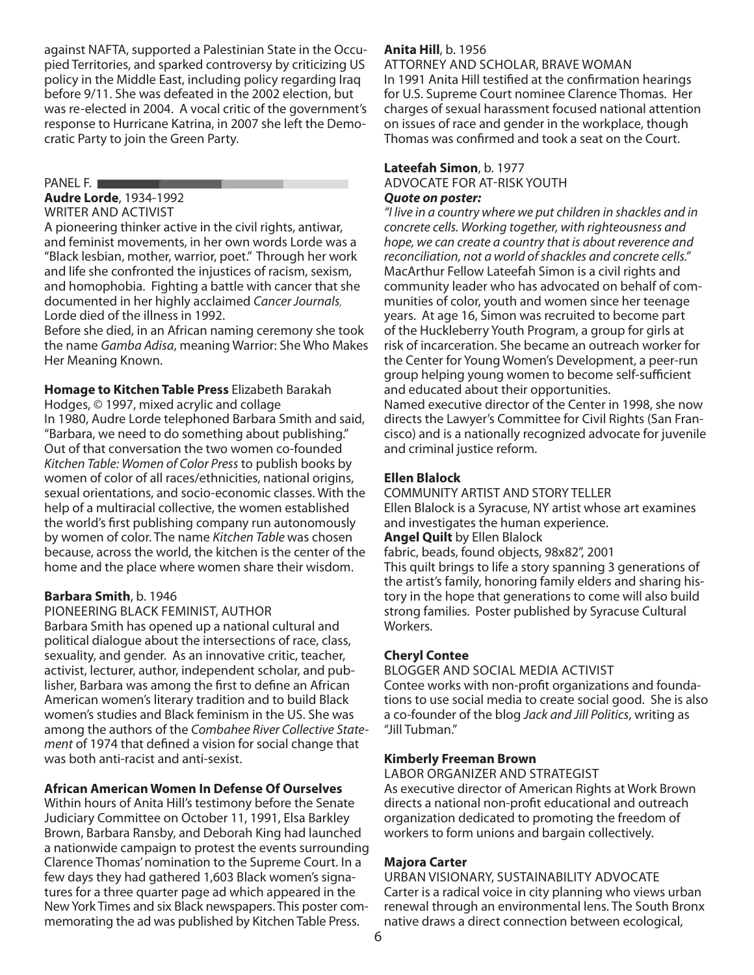against NAFTA, supported a Palestinian State in the Occupied Territories, and sparked controversy by criticizing US policy in the Middle East, including policy regarding Iraq before 9/11. She was defeated in the 2002 election, but was re-elected in 2004. A vocal critic of the government's response to Hurricane Katrina, in 2007 she left the Democratic Party to join the Green Party.

#### PANEL F.

**Audre Lorde** , 1934-1992

#### WRITER AND ACTIVIST

A pioneering thinker active in the civil rights, antiwar, and feminist movements, in her own words Lorde was a "Black lesbian, mother, warrior, poet." Through her work e to Hurricane<br>Ty to join the<br>**orde**, 1934-19<br>AND ACTIVIS<br>Tring thinker<br>inist moveme<br>sbian, mother ne Katrina, in 2007 she left the Dem<br>he Green Party.<br>1992<br>"IST<br>rr active in the civil rights, antiwar,<br>nents, in her own words Lorde was a<br>ner, warrior, poet." Through her worl and life she confronted the injustices of racism, sexism, and homophobia. Fighting a battle with cancer that she documented in her highly acclaimed Cancer Journals, Lorde died of the illness in 1992.

Before she died, in an African naming ceremony she took the name Gamba Adisa, meaning Warrior: She Who Makes Her Meaning Known.

**Homage to Kitchen Table Press** Elizabeth Barakah Hodges, © 1997, mixed acrylic and collage In 1980, Audre Lorde telephoned Barbara Smith and said, "Barbara, we need to do something about publishing." Out of that conversation the two women co-founded Kitchen Table: Women of Color Press to publish books by women of color of all races/ethnicities, national origins, sexual orientations, and socio-economic classes. With the help of a multiracial collective, the women established the world's first publishing company run autonomously by women of color. The name Kitchen Table was chosen because, across the world, the kitchen is the center of the home and the place where women share their wisdom.

#### **Barbara Smith**, b. 1946

#### PIONEERING BLACK FEMINIST, AUTHOR

Barbara Smith has opened up a national cultural and political dialogue about the intersections of race, class, sexuality, and gender. As an innovative critic, teacher, activist, lecturer, author, independent scholar, and publisher, Barbara was among the first to define an African American women's literary tradition and to build Black women's studies and Black feminism in the US. She was among the authors of the Combahee River Collective Statement of 1974 that defined a vision for social change that was both anti-racist and anti-sexist.

#### **African American Women In Defense Of Ourselves**

Within hours of Anita Hill's testimony before the Senate Judiciary Committee on October 11, 1991, Elsa Barkley Brown, Barbara Ransby, and Deborah King had launched a nationwide campaign to protest the events surrounding Clarence Thomas' nomination to the Supreme Court. In a few days they had gathered 1,603 Black women's signatures for a three quarter page ad which appeared in the New York Times and six Black newspapers. This poster commemorating the ad was published by Kitchen Table Press.

#### **Anita Hill**, b. 1956

ATTORNEY AND SCHOLAR, BRAVE WOMAN In 1991 Anita Hill testified at the confirmation hearings for U.S. Supreme Court nominee Clarence Thomas. Her charges of sexual harassment focused national attention on issues of race and gender in the workplace, though Thomas was confirmed and took a seat on the Court.

#### **Lateefah Simon**, b. 1977 ADVOCATE FOR AT-RISK YOUTH **Quote on poster:**

"I live in a country where we put children in shackles and in concrete cells. Working together, with righteousness and hope, we can create a country that is about reverence and reconciliation, not a world of shackles and concrete cells." MacArthur Fellow Lateefah Simon is a civil rights and community leader who has advocated on behalf of communities of color, youth and women since her teenage years. At age 16, Simon was recruited to become part of the Huckleberry Youth Program, a group for girls at risk of incarceration. She became an outreach worker for the Center for Young Women's Development, a peer-run group helping young women to become self-sufficient and educated about their opportunities.

Named executive director of the Center in 1998, she now directs the Lawyer's Committee for Civil Rights (San Francisco) and is a nationally recognized advocate for juvenile and criminal justice reform.

#### **Ellen Blalock**

COMMUNITY ARTIST AND STORY TELLER Ellen Blalock is a Syracuse, NY artist whose art examines and investigates the human experience. **Angel Quilt** by Ellen Blalock

fabric, beads, found objects, 98x82", 2001

This quilt brings to life a story spanning 3 generations of the artist's family, honoring family elders and sharing history in the hope that generations to come will also build strong families. Poster published by Syracuse Cultural Workers.

#### **Cheryl Contee**

BLOGGER AND SOCIAL MEDIA ACTIVIST Contee works with non-profit organizations and foundations to use social media to create social good. She is also a co-founder of the blog Jack and Jill Politics, writing as "Jill Tubman."

#### **Kimberly Freeman Brown**

LABOR ORGANIZER AND STRATEGIST

As executive director of American Rights at Work Brown directs a national non-profit educational and outreach organization dedicated to promoting the freedom of workers to form unions and bargain collectively.

#### **Majora Carter**

URBAN VISIONARY, SUSTAINABILITY ADVOCATE Carter is a radical voice in city planning who views urban renewal through an environmental lens. The South Bronx native draws a direct connection between ecological,